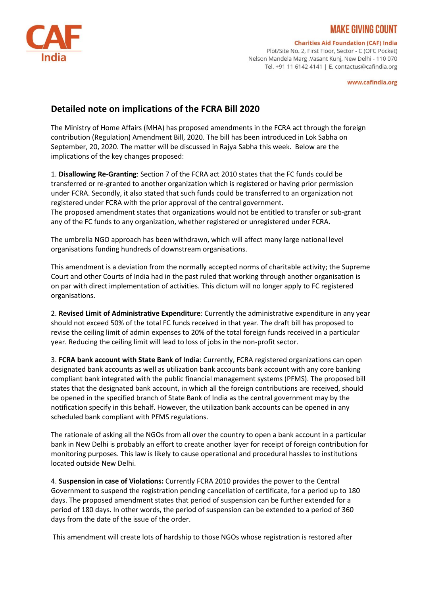

## KE GIVING COUNT

**Charities Aid Foundation (CAF) India** 

Plot/Site No. 2, First Floor, Sector - C (OFC Pocket) Nelson Mandela Marg, Vasant Kunj, New Delhi - 110 070 Tel. +91 11 6142 4141 | E. contactus@cafindia.org

www.cafindia.org

## **Detailed note on implications of the FCRA Bill 2020**

The Ministry of Home Affairs (MHA) has proposed amendments in the FCRA act through the foreign contribution (Regulation) Amendment Bill, 2020. The bill has been introduced in Lok Sabha on September, 20, 2020. The matter will be discussed in Rajya Sabha this week. Below are the implications of the key changes proposed:

1. **Disallowing Re-Granting**: Section 7 of the FCRA act 2010 states that the FC funds could be transferred or re-granted to another organization which is registered or having prior permission under FCRA. Secondly, it also stated that such funds could be transferred to an organization not registered under FCRA with the prior approval of the central government. The proposed amendment states that organizations would not be entitled to transfer or sub-grant any of the FC funds to any organization, whether registered or unregistered under FCRA.

The umbrella NGO approach has been withdrawn, which will affect many large national level organisations funding hundreds of downstream organisations.

This amendment is a deviation from the normally accepted norms of charitable activity; the Supreme Court and other Courts of India had in the past ruled that working through another organisation is on par with direct implementation of activities. This dictum will no longer apply to FC registered organisations.

2. **Revised Limit of Administrative Expenditure**: Currently the administrative expenditure in any year should not exceed 50% of the total FC funds received in that year. The draft bill has proposed to revise the ceiling limit of admin expenses to 20% of the total foreign funds received in a particular year. Reducing the ceiling limit will lead to loss of jobs in the non-profit sector.

3. **FCRA bank account with State Bank of India**: Currently, FCRA registered organizations can open designated bank accounts as well as utilization bank accounts bank account with any core banking compliant bank integrated with the public financial management systems (PFMS). The proposed bill states that the designated bank account, in which all the foreign contributions are received, should be opened in the specified branch of State Bank of India as the central government may by the notification specify in this behalf. However, the utilization bank accounts can be opened in any scheduled bank compliant with PFMS regulations.

The rationale of asking all the NGOs from all over the country to open a bank account in a particular bank in New Delhi is probably an effort to create another layer for receipt of foreign contribution for monitoring purposes. This law is likely to cause operational and procedural hassles to institutions located outside New Delhi.

4. **Suspension in case of Violations:** Currently FCRA 2010 provides the power to the Central Government to suspend the registration pending cancellation of certificate, for a period up to 180 days. The proposed amendment states that period of suspension can be further extended for a period of 180 days. In other words, the period of suspension can be extended to a period of 360 days from the date of the issue of the order.

This amendment will create lots of hardship to those NGOs whose registration is restored after